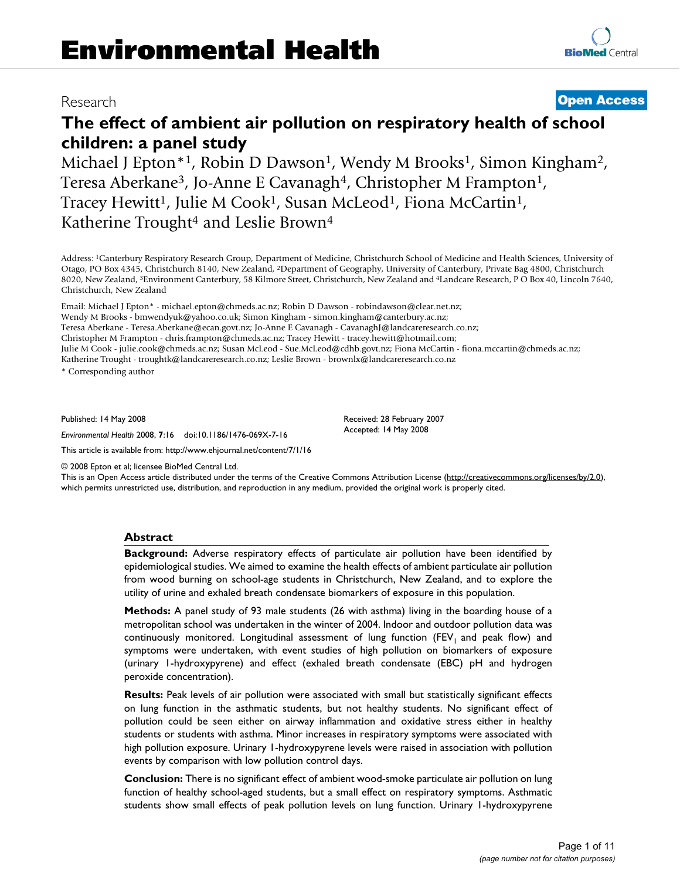# Research **[Open Access](http://www.biomedcentral.com/info/about/charter/)**

# **The effect of ambient air pollution on respiratory health of school children: a panel study**

Michael J Epton<sup>\*1</sup>, Robin D Dawson<sup>1</sup>, Wendy M Brooks<sup>1</sup>, Simon Kingham<sup>2</sup>, Teresa Aberkane<sup>3</sup>, Jo-Anne E Cavanagh<sup>4</sup>, Christopher M Frampton<sup>1</sup>, Tracey Hewitt<sup>1</sup>, Julie M Cook<sup>1</sup>, Susan McLeod<sup>1</sup>, Fiona McCartin<sup>1</sup>, Katherine Trought<sup>4</sup> and Leslie Brown<sup>4</sup>

Address: 1Canterbury Respiratory Research Group, Department of Medicine, Christchurch School of Medicine and Health Sciences, University of Otago, PO Box 4345, Christchurch 8140, New Zealand, 2Department of Geography, University of Canterbury, Private Bag 4800, Christchurch 8020, New Zealand, 3Environment Canterbury, 58 Kilmore Street, Christchurch, New Zealand and 4Landcare Research, P O Box 40, Lincoln 7640, Christchurch, New Zealand

Email: Michael J Epton\* - michael.epton@chmeds.ac.nz; Robin D Dawson - robindawson@clear.net.nz; Wendy M Brooks - bmwendyuk@yahoo.co.uk; Simon Kingham - simon.kingham@canterbury.ac.nz; Teresa Aberkane - Teresa.Aberkane@ecan.govt.nz; Jo-Anne E Cavanagh - CavanaghJ@landcareresearch.co.nz; Christopher M Frampton - chris.frampton@chmeds.ac.nz; Tracey Hewitt - tracey.hewitt@hotmail.com; Julie M Cook - julie.cook@chmeds.ac.nz; Susan McLeod - Sue.McLeod@cdhb.govt.nz; Fiona McCartin - fiona.mccartin@chmeds.ac.nz; Katherine Trought - troughtk@landcareresearch.co.nz; Leslie Brown - brownlx@landcareresearch.co.nz

\* Corresponding author

Published: 14 May 2008

*Environmental Health* 2008, **7**:16 doi:10.1186/1476-069X-7-16

[This article is available from: http://www.ehjournal.net/content/7/1/16](http://www.ehjournal.net/content/7/1/16)

© 2008 Epton et al; licensee BioMed Central Ltd.

This is an Open Access article distributed under the terms of the Creative Commons Attribution License [\(http://creativecommons.org/licenses/by/2.0\)](http://creativecommons.org/licenses/by/2.0), which permits unrestricted use, distribution, and reproduction in any medium, provided the original work is properly cited.

Received: 28 February 2007 Accepted: 14 May 2008

# **Abstract**

**Background:** Adverse respiratory effects of particulate air pollution have been identified by epidemiological studies. We aimed to examine the health effects of ambient particulate air pollution from wood burning on school-age students in Christchurch, New Zealand, and to explore the utility of urine and exhaled breath condensate biomarkers of exposure in this population.

**Methods:** A panel study of 93 male students (26 with asthma) living in the boarding house of a metropolitan school was undertaken in the winter of 2004. Indoor and outdoor pollution data was continuously monitored. Longitudinal assessment of lung function  $(FEV<sub>1</sub>$  and peak flow) and symptoms were undertaken, with event studies of high pollution on biomarkers of exposure (urinary 1-hydroxypyrene) and effect (exhaled breath condensate (EBC) pH and hydrogen peroxide concentration).

**Results:** Peak levels of air pollution were associated with small but statistically significant effects on lung function in the asthmatic students, but not healthy students. No significant effect of pollution could be seen either on airway inflammation and oxidative stress either in healthy students or students with asthma. Minor increases in respiratory symptoms were associated with high pollution exposure. Urinary 1-hydroxypyrene levels were raised in association with pollution events by comparison with low pollution control days.

**Conclusion:** There is no significant effect of ambient wood-smoke particulate air pollution on lung function of healthy school-aged students, but a small effect on respiratory symptoms. Asthmatic students show small effects of peak pollution levels on lung function. Urinary 1-hydroxypyrene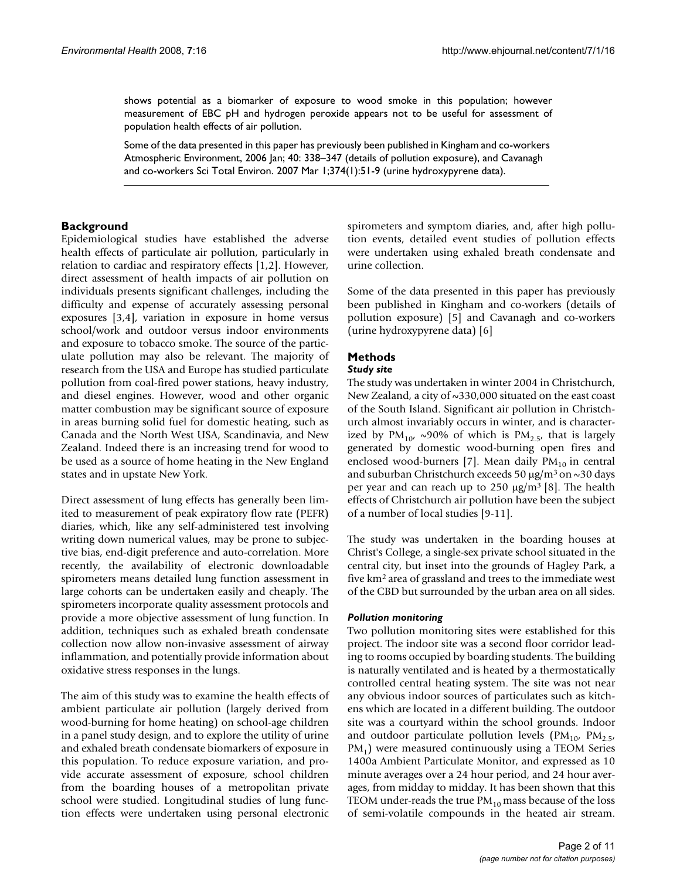shows potential as a biomarker of exposure to wood smoke in this population; however measurement of EBC pH and hydrogen peroxide appears not to be useful for assessment of population health effects of air pollution.

Some of the data presented in this paper has previously been published in Kingham and co-workers Atmospheric Environment, 2006 Jan; 40: 338–347 (details of pollution exposure), and Cavanagh and co-workers Sci Total Environ. 2007 Mar 1;374(1):51-9 (urine hydroxypyrene data).

# **Background**

Epidemiological studies have established the adverse health effects of particulate air pollution, particularly in relation to cardiac and respiratory effects [1,2]. However, direct assessment of health impacts of air pollution on individuals presents significant challenges, including the difficulty and expense of accurately assessing personal exposures [3,4], variation in exposure in home versus school/work and outdoor versus indoor environments and exposure to tobacco smoke. The source of the particulate pollution may also be relevant. The majority of research from the USA and Europe has studied particulate pollution from coal-fired power stations, heavy industry, and diesel engines. However, wood and other organic matter combustion may be significant source of exposure in areas burning solid fuel for domestic heating, such as Canada and the North West USA, Scandinavia, and New Zealand. Indeed there is an increasing trend for wood to be used as a source of home heating in the New England states and in upstate New York.

Direct assessment of lung effects has generally been limited to measurement of peak expiratory flow rate (PEFR) diaries, which, like any self-administered test involving writing down numerical values, may be prone to subjective bias, end-digit preference and auto-correlation. More recently, the availability of electronic downloadable spirometers means detailed lung function assessment in large cohorts can be undertaken easily and cheaply. The spirometers incorporate quality assessment protocols and provide a more objective assessment of lung function. In addition, techniques such as exhaled breath condensate collection now allow non-invasive assessment of airway inflammation, and potentially provide information about oxidative stress responses in the lungs.

The aim of this study was to examine the health effects of ambient particulate air pollution (largely derived from wood-burning for home heating) on school-age children in a panel study design, and to explore the utility of urine and exhaled breath condensate biomarkers of exposure in this population. To reduce exposure variation, and provide accurate assessment of exposure, school children from the boarding houses of a metropolitan private school were studied. Longitudinal studies of lung function effects were undertaken using personal electronic spirometers and symptom diaries, and, after high pollution events, detailed event studies of pollution effects were undertaken using exhaled breath condensate and urine collection.

Some of the data presented in this paper has previously been published in Kingham and co-workers (details of pollution exposure) [5] and Cavanagh and co-workers (urine hydroxypyrene data) [6]

# **Methods**

# *Study site*

The study was undertaken in winter 2004 in Christchurch, New Zealand, a city of ~330,000 situated on the east coast of the South Island. Significant air pollution in Christchurch almost invariably occurs in winter, and is characterized by  $PM_{10}$ , ~90% of which is  $PM_{2.5}$ , that is largely generated by domestic wood-burning open fires and enclosed wood-burners [7]. Mean daily  $PM_{10}$  in central and suburban Christchurch exceeds 50  $\mu$ g/m<sup>3</sup> on ~30 days per year and can reach up to 250  $\mu$ g/m<sup>3</sup> [8]. The health effects of Christchurch air pollution have been the subject of a number of local studies [9-11].

The study was undertaken in the boarding houses at Christ's College, a single-sex private school situated in the central city, but inset into the grounds of Hagley Park, a five km2 area of grassland and trees to the immediate west of the CBD but surrounded by the urban area on all sides.

#### *Pollution monitoring*

Two pollution monitoring sites were established for this project. The indoor site was a second floor corridor leading to rooms occupied by boarding students. The building is naturally ventilated and is heated by a thermostatically controlled central heating system. The site was not near any obvious indoor sources of particulates such as kitchens which are located in a different building. The outdoor site was a courtyard within the school grounds. Indoor and outdoor particulate pollution levels ( $\text{PM}_{10}$ ,  $\text{PM}_{2.5}$ ,  $PM<sub>1</sub>$ ) were measured continuously using a TEOM Series 1400a Ambient Particulate Monitor, and expressed as 10 minute averages over a 24 hour period, and 24 hour averages, from midday to midday. It has been shown that this TEOM under-reads the true  $PM_{10}$  mass because of the loss of semi-volatile compounds in the heated air stream.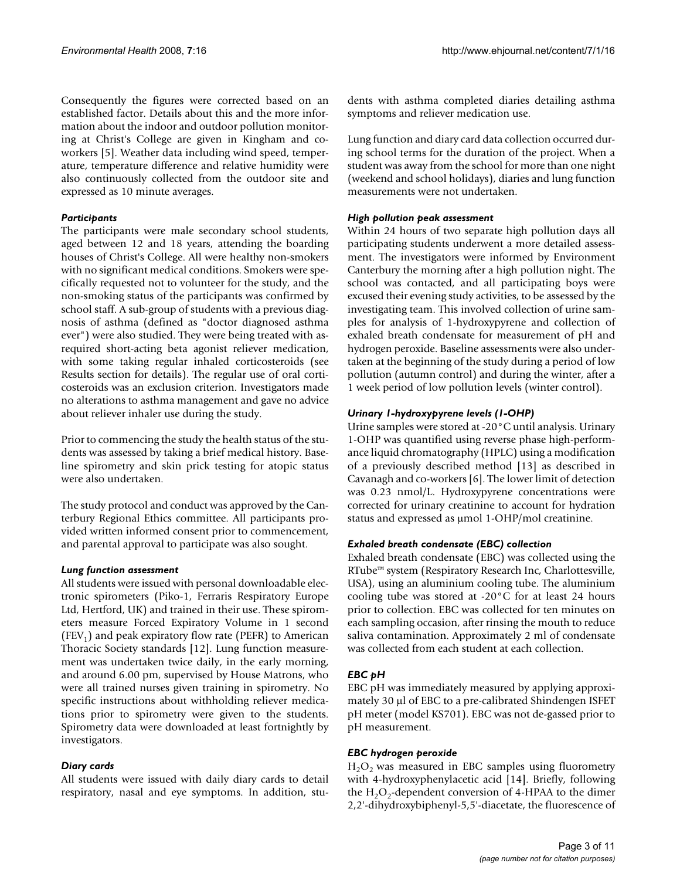Consequently the figures were corrected based on an established factor. Details about this and the more information about the indoor and outdoor pollution monitoring at Christ's College are given in Kingham and coworkers [5]. Weather data including wind speed, temperature, temperature difference and relative humidity were also continuously collected from the outdoor site and expressed as 10 minute averages.

# *Participants*

The participants were male secondary school students, aged between 12 and 18 years, attending the boarding houses of Christ's College. All were healthy non-smokers with no significant medical conditions. Smokers were specifically requested not to volunteer for the study, and the non-smoking status of the participants was confirmed by school staff. A sub-group of students with a previous diagnosis of asthma (defined as "doctor diagnosed asthma ever") were also studied. They were being treated with asrequired short-acting beta agonist reliever medication, with some taking regular inhaled corticosteroids (see Results section for details). The regular use of oral corticosteroids was an exclusion criterion. Investigators made no alterations to asthma management and gave no advice about reliever inhaler use during the study.

Prior to commencing the study the health status of the students was assessed by taking a brief medical history. Baseline spirometry and skin prick testing for atopic status were also undertaken.

The study protocol and conduct was approved by the Canterbury Regional Ethics committee. All participants provided written informed consent prior to commencement, and parental approval to participate was also sought.

# *Lung function assessment*

All students were issued with personal downloadable electronic spirometers (Piko-1, Ferraris Respiratory Europe Ltd, Hertford, UK) and trained in their use. These spirometers measure Forced Expiratory Volume in 1 second  $(FEV<sub>1</sub>)$  and peak expiratory flow rate (PEFR) to American Thoracic Society standards [12]. Lung function measurement was undertaken twice daily, in the early morning, and around 6.00 pm, supervised by House Matrons, who were all trained nurses given training in spirometry. No specific instructions about withholding reliever medications prior to spirometry were given to the students. Spirometry data were downloaded at least fortnightly by investigators.

#### *Diary cards*

All students were issued with daily diary cards to detail respiratory, nasal and eye symptoms. In addition, students with asthma completed diaries detailing asthma symptoms and reliever medication use.

Lung function and diary card data collection occurred during school terms for the duration of the project. When a student was away from the school for more than one night (weekend and school holidays), diaries and lung function measurements were not undertaken.

### *High pollution peak assessment*

Within 24 hours of two separate high pollution days all participating students underwent a more detailed assessment. The investigators were informed by Environment Canterbury the morning after a high pollution night. The school was contacted, and all participating boys were excused their evening study activities, to be assessed by the investigating team. This involved collection of urine samples for analysis of 1-hydroxypyrene and collection of exhaled breath condensate for measurement of pH and hydrogen peroxide. Baseline assessments were also undertaken at the beginning of the study during a period of low pollution (autumn control) and during the winter, after a 1 week period of low pollution levels (winter control).

# *Urinary 1-hydroxypyrene levels (1-OHP)*

Urine samples were stored at -20°C until analysis. Urinary 1-OHP was quantified using reverse phase high-performance liquid chromatography (HPLC) using a modification of a previously described method [13] as described in Cavanagh and co-workers [6]. The lower limit of detection was 0.23 nmol/L. Hydroxypyrene concentrations were corrected for urinary creatinine to account for hydration status and expressed as μmol 1-OHP/mol creatinine.

#### *Exhaled breath condensate (EBC) collection*

Exhaled breath condensate (EBC) was collected using the RTube™ system (Respiratory Research Inc, Charlottesville, USA), using an aluminium cooling tube. The aluminium cooling tube was stored at -20°C for at least 24 hours prior to collection. EBC was collected for ten minutes on each sampling occasion, after rinsing the mouth to reduce saliva contamination. Approximately 2 ml of condensate was collected from each student at each collection.

# *EBC pH*

EBC pH was immediately measured by applying approximately 30 μl of EBC to a pre-calibrated Shindengen ISFET pH meter (model KS701). EBC was not de-gassed prior to pH measurement.

#### *EBC hydrogen peroxide*

 $H<sub>2</sub>O<sub>2</sub>$  was measured in EBC samples using fluorometry with 4-hydroxyphenylacetic acid [14]. Briefly, following the  $H_2O_2$ -dependent conversion of 4-HPAA to the dimer 2,2'-dihydroxybiphenyl-5,5'-diacetate, the fluorescence of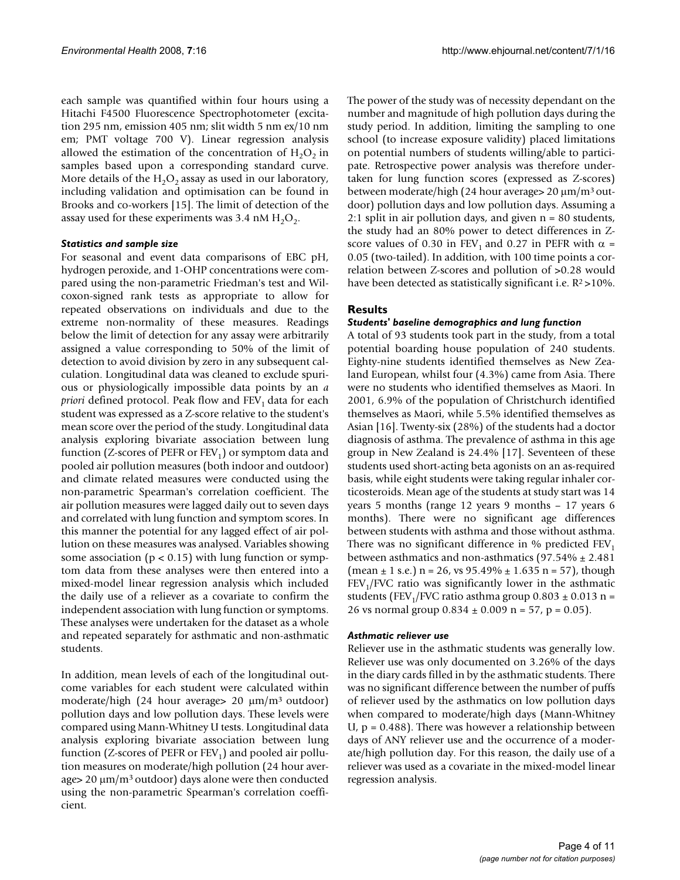each sample was quantified within four hours using a Hitachi F4500 Fluorescence Spectrophotometer (excitation 295 nm, emission 405 nm; slit width 5 nm ex/10 nm em; PMT voltage 700 V). Linear regression analysis allowed the estimation of the concentration of  $H_2O_2$  in samples based upon a corresponding standard curve. More details of the  $H_2O_2$  assay as used in our laboratory, including validation and optimisation can be found in Brooks and co-workers [15]. The limit of detection of the assay used for these experiments was 3.4 nM  $H_2O_2$ .

### *Statistics and sample size*

For seasonal and event data comparisons of EBC pH, hydrogen peroxide, and 1-OHP concentrations were compared using the non-parametric Friedman's test and Wilcoxon-signed rank tests as appropriate to allow for repeated observations on individuals and due to the extreme non-normality of these measures. Readings below the limit of detection for any assay were arbitrarily assigned a value corresponding to 50% of the limit of detection to avoid division by zero in any subsequent calculation. Longitudinal data was cleaned to exclude spurious or physiologically impossible data points by an *a priori* defined protocol. Peak flow and FEV<sub>1</sub> data for each student was expressed as a Z-score relative to the student's mean score over the period of the study. Longitudinal data analysis exploring bivariate association between lung function (Z-scores of PEFR or  $FEV<sub>1</sub>$ ) or symptom data and pooled air pollution measures (both indoor and outdoor) and climate related measures were conducted using the non-parametric Spearman's correlation coefficient. The air pollution measures were lagged daily out to seven days and correlated with lung function and symptom scores. In this manner the potential for any lagged effect of air pollution on these measures was analysed. Variables showing some association ( $p < 0.15$ ) with lung function or symptom data from these analyses were then entered into a mixed-model linear regression analysis which included the daily use of a reliever as a covariate to confirm the independent association with lung function or symptoms. These analyses were undertaken for the dataset as a whole and repeated separately for asthmatic and non-asthmatic students.

In addition, mean levels of each of the longitudinal outcome variables for each student were calculated within moderate/high (24 hour average> 20 μm/m<sup>3</sup> outdoor) pollution days and low pollution days. These levels were compared using Mann-Whitney U tests. Longitudinal data analysis exploring bivariate association between lung function (Z-scores of PEFR or  $FEV_1$ ) and pooled air pollution measures on moderate/high pollution (24 hour average>  $20 \mu m/m<sup>3</sup>$  outdoor) days alone were then conducted using the non-parametric Spearman's correlation coefficient.

The power of the study was of necessity dependant on the number and magnitude of high pollution days during the study period. In addition, limiting the sampling to one school (to increase exposure validity) placed limitations on potential numbers of students willing/able to participate. Retrospective power analysis was therefore undertaken for lung function scores (expressed as Z-scores) between moderate/high (24 hour average> 20 μm/m3 outdoor) pollution days and low pollution days. Assuming a 2:1 split in air pollution days, and given n = 80 students, the study had an 80% power to detect differences in Zscore values of 0.30 in FEV<sub>1</sub> and 0.27 in PEFR with  $\alpha$  = 0.05 (two-tailed). In addition, with 100 time points a correlation between Z-scores and pollution of >0.28 would have been detected as statistically significant i.e.  $R^2 > 10\%$ .

# **Results**

### *Students' baseline demographics and lung function*

A total of 93 students took part in the study, from a total potential boarding house population of 240 students. Eighty-nine students identified themselves as New Zealand European, whilst four (4.3%) came from Asia. There were no students who identified themselves as Maori. In 2001, 6.9% of the population of Christchurch identified themselves as Maori, while 5.5% identified themselves as Asian [16]. Twenty-six (28%) of the students had a doctor diagnosis of asthma. The prevalence of asthma in this age group in New Zealand is 24.4% [17]. Seventeen of these students used short-acting beta agonists on an as-required basis, while eight students were taking regular inhaler corticosteroids. Mean age of the students at study start was 14 years 5 months (range 12 years 9 months – 17 years 6 months). There were no significant age differences between students with asthma and those without asthma. There was no significant difference in  $\%$  predicted FEV<sub>1</sub> between asthmatics and non-asthmatics (97.54% ± 2.481 (mean  $\pm$  1 s.e.) n = 26, vs 95.49%  $\pm$  1.635 n = 57), though  $FEV<sub>1</sub>/FVC$  ratio was significantly lower in the asthmatic students (FEV<sub>1</sub>/FVC ratio asthma group  $0.803 \pm 0.013$  n = 26 vs normal group  $0.834 \pm 0.009$  n = 57, p = 0.05).

#### *Asthmatic reliever use*

Reliever use in the asthmatic students was generally low. Reliever use was only documented on 3.26% of the days in the diary cards filled in by the asthmatic students. There was no significant difference between the number of puffs of reliever used by the asthmatics on low pollution days when compared to moderate/high days (Mann-Whitney  $U$ ,  $p = 0.488$ ). There was however a relationship between days of ANY reliever use and the occurrence of a moderate/high pollution day. For this reason, the daily use of a reliever was used as a covariate in the mixed-model linear regression analysis.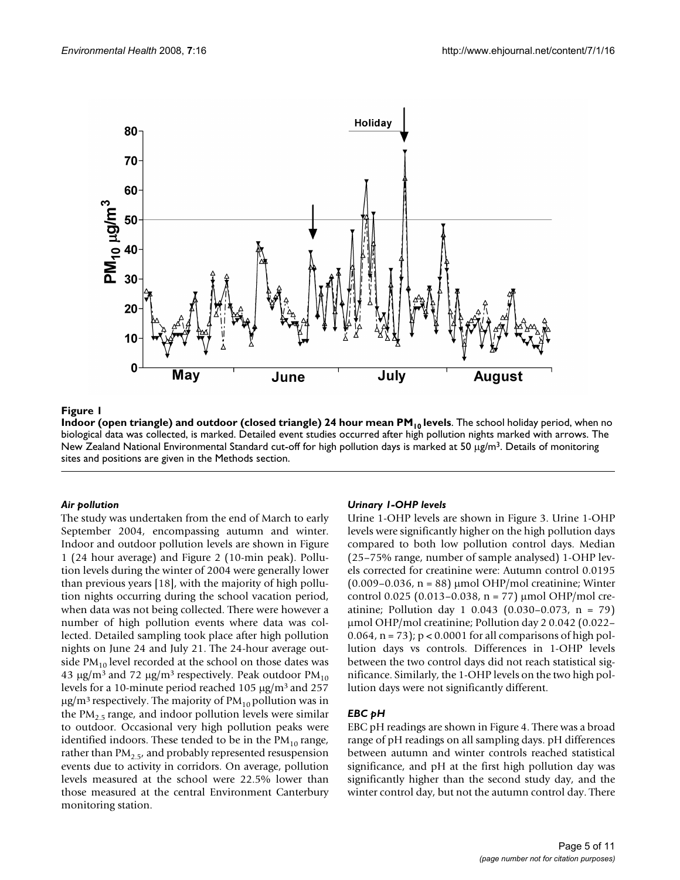

# Indoor (open triangle) and outdoor (closed triangle) 24 hour mean PM10 **Figure 1** levels

**Indoor (open triangle) and outdoor (closed triangle) 24 hour mean PM<sub>10</sub> levels**. The school holiday period, when no biological data was collected, is marked. Detailed event studies occurred after high pollution nights marked with arrows. The New Zealand National Environmental Standard cut-off for high pollution days is marked at 50 μg/m3. Details of monitoring sites and positions are given in the Methods section.

#### *Air pollution*

The study was undertaken from the end of March to early September 2004, encompassing autumn and winter. Indoor and outdoor pollution levels are shown in Figure 1 (24 hour average) and Figure 2 (10-min peak). Pollution levels during the winter of 2004 were generally lower than previous years [18], with the majority of high pollution nights occurring during the school vacation period, when data was not being collected. There were however a number of high pollution events where data was collected. Detailed sampling took place after high pollution nights on June 24 and July 21. The 24-hour average outside  $PM_{10}$  level recorded at the school on those dates was 43 μg/m<sup>3</sup> and 72 μg/m<sup>3</sup> respectively. Peak outdoor  $PM_{10}$ levels for a 10-minute period reached 105  $\mu$ g/m<sup>3</sup> and 257  $\mu$ g/m<sup>3</sup> respectively. The majority of PM<sub>10</sub> pollution was in the PM<sub>2.5</sub> range, and indoor pollution levels were similar to outdoor. Occasional very high pollution peaks were identified indoors. These tended to be in the  $PM_{10}$  range, rather than  $PM_{2.5}$ , and probably represented resuspension events due to activity in corridors. On average, pollution levels measured at the school were 22.5% lower than those measured at the central Environment Canterbury monitoring station.

#### *Urinary 1-OHP levels*

Urine 1-OHP levels are shown in Figure 3. Urine 1-OHP levels were significantly higher on the high pollution days compared to both low pollution control days. Median (25–75% range, number of sample analysed) 1-OHP levels corrected for creatinine were: Autumn control 0.0195  $(0.009-0.036, n = 88)$  µmol OHP/mol creatinine; Winter control 0.025 (0.013–0.038, n = 77) μmol OHP/mol creatinine; Pollution day 1 0.043 (0.030–0.073, n = 79) μmol OHP/mol creatinine; Pollution day 2 0.042 (0.022–  $0.064$ , n = 73); p < 0.0001 for all comparisons of high pollution days vs controls. Differences in 1-OHP levels between the two control days did not reach statistical significance. Similarly, the 1-OHP levels on the two high pollution days were not significantly different.

#### *EBC pH*

EBC pH readings are shown in Figure 4. There was a broad range of pH readings on all sampling days. pH differences between autumn and winter controls reached statistical significance, and pH at the first high pollution day was significantly higher than the second study day, and the winter control day, but not the autumn control day. There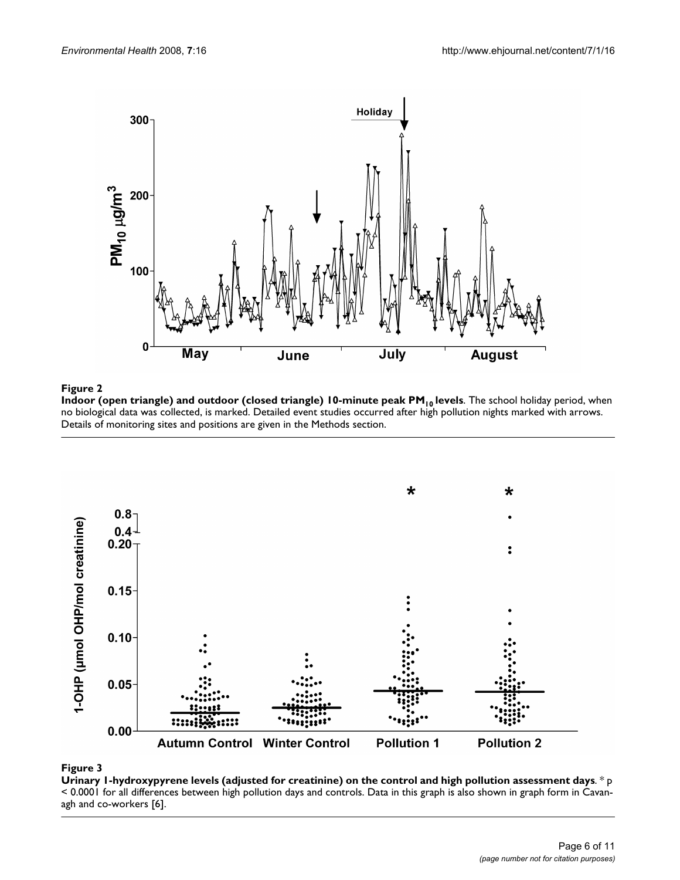

**Indoor (open triangle) and outdoor (closed triangle) 10-minute peak PM10**  $\sigma$  **in the peak PM10**  $\sigma$ **Indoor (open triangle) and outdoor (closed triangle) 10-minute peak PM<sub>10</sub> levels. The school holiday period, when** no biological data was collected, is marked. Detailed event studies occurred after high pollution nights marked with arrows. Details of monitoring sites and positions are given in the Methods section.



# Urinary 1-hydroxypyrene leve **Figure 3** ls (adjusted for creatinine) on the control and high pollution assessment days

**Urinary 1-hydroxypyrene levels (adjusted for creatinine) on the control and high pollution assessment days**. \* p < 0.0001 for all differences between high pollution days and controls. Data in this graph is also shown in graph form in Cavanagh and co-workers [6].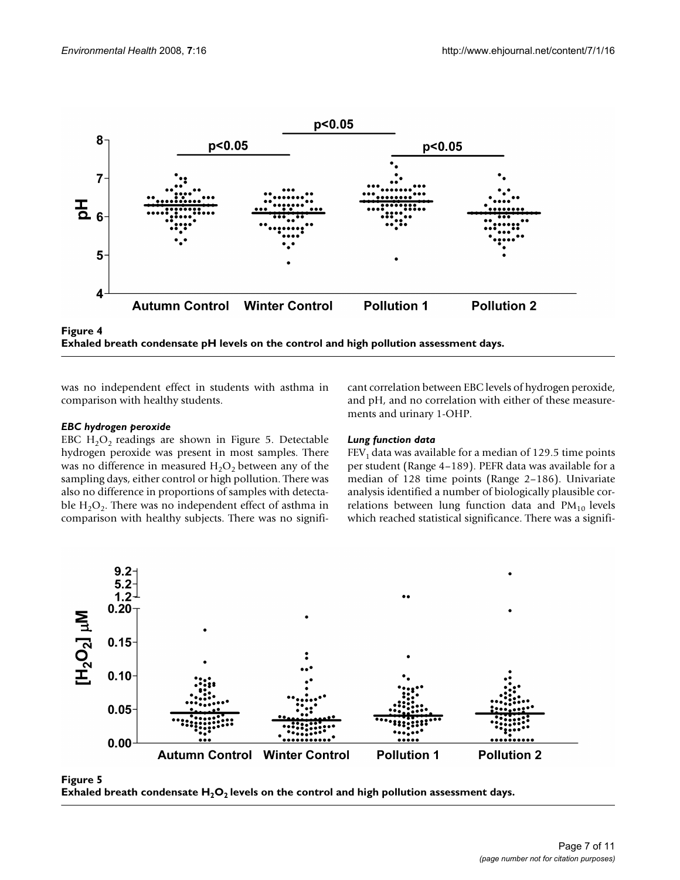

Exhaled breath condensate pH **Figure 4** levels on the control and high pollution assessment days **Exhaled breath condensate pH levels on the control and high pollution assessment days.**

was no independent effect in students with asthma in comparison with healthy students.

#### *EBC hydrogen peroxide*

EBC  $H_2O_2$  readings are shown in Figure 5. Detectable hydrogen peroxide was present in most samples. There was no difference in measured  $H_2O_2$  between any of the sampling days, either control or high pollution. There was also no difference in proportions of samples with detectable  $H_2O_2$ . There was no independent effect of asthma in comparison with healthy subjects. There was no significant correlation between EBC levels of hydrogen peroxide, and pH, and no correlation with either of these measurements and urinary 1-OHP.

#### *Lung function data*

 $FEV<sub>1</sub>$  data was available for a median of 129.5 time points per student (Range 4–189). PEFR data was available for a median of 128 time points (Range 2–186). Univariate analysis identified a number of biologically plausible correlations between lung function data and  $PM_{10}$  levels which reached statistical significance. There was a signifi-



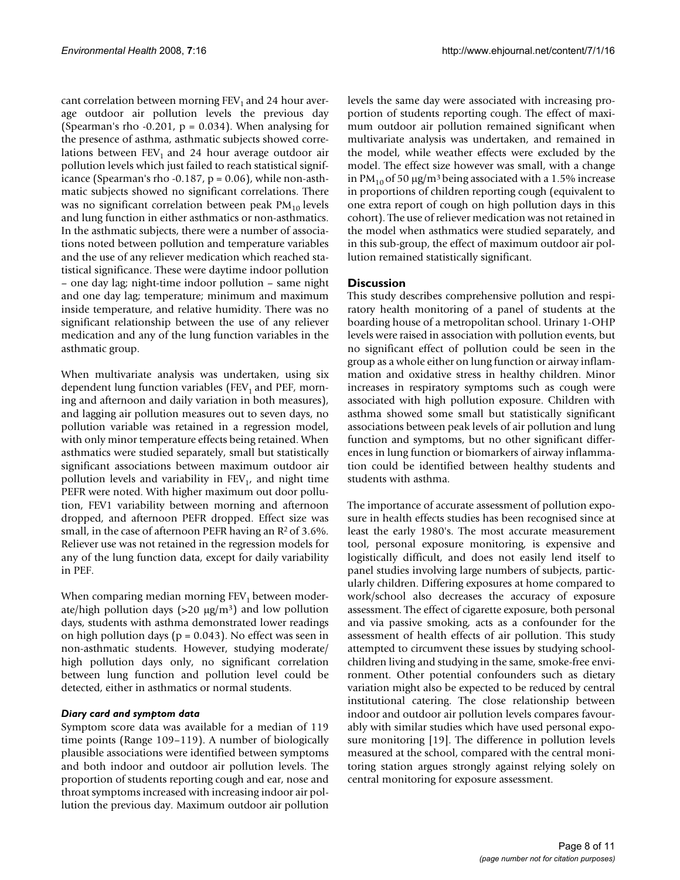cant correlation between morning  $FEV<sub>1</sub>$  and 24 hour average outdoor air pollution levels the previous day (Spearman's rho  $-0.201$ ,  $p = 0.034$ ). When analysing for the presence of asthma, asthmatic subjects showed correlations between  $FEV<sub>1</sub>$  and 24 hour average outdoor air pollution levels which just failed to reach statistical significance (Spearman's rho -0.187,  $p = 0.06$ ), while non-asthmatic subjects showed no significant correlations. There was no significant correlation between peak  $PM_{10}$  levels and lung function in either asthmatics or non-asthmatics. In the asthmatic subjects, there were a number of associations noted between pollution and temperature variables and the use of any reliever medication which reached statistical significance. These were daytime indoor pollution – one day lag; night-time indoor pollution – same night and one day lag; temperature; minimum and maximum inside temperature, and relative humidity. There was no significant relationship between the use of any reliever medication and any of the lung function variables in the asthmatic group.

When multivariate analysis was undertaken, using six dependent lung function variables (FEV<sub>1</sub> and PEF, morning and afternoon and daily variation in both measures), and lagging air pollution measures out to seven days, no pollution variable was retained in a regression model, with only minor temperature effects being retained. When asthmatics were studied separately, small but statistically significant associations between maximum outdoor air pollution levels and variability in  $FEV<sub>1</sub>$ , and night time PEFR were noted. With higher maximum out door pollution, FEV1 variability between morning and afternoon dropped, and afternoon PEFR dropped. Effect size was small, in the case of afternoon PEFR having an  $\mathbb{R}^2$  of 3.6%. Reliever use was not retained in the regression models for any of the lung function data, except for daily variability in PEF.

When comparing median morning  $FEV<sub>1</sub>$  between moderate/high pollution days  $(>20 \mu g/m^3)$  and low pollution days, students with asthma demonstrated lower readings on high pollution days ( $p = 0.043$ ). No effect was seen in non-asthmatic students. However, studying moderate/ high pollution days only, no significant correlation between lung function and pollution level could be detected, either in asthmatics or normal students.

#### *Diary card and symptom data*

Symptom score data was available for a median of 119 time points (Range 109–119). A number of biologically plausible associations were identified between symptoms and both indoor and outdoor air pollution levels. The proportion of students reporting cough and ear, nose and throat symptoms increased with increasing indoor air pollution the previous day. Maximum outdoor air pollution levels the same day were associated with increasing proportion of students reporting cough. The effect of maximum outdoor air pollution remained significant when multivariate analysis was undertaken, and remained in the model, while weather effects were excluded by the model. The effect size however was small, with a change in PM<sub>10</sub> of 50  $\mu$ g/m<sup>3</sup> being associated with a 1.5% increase in proportions of children reporting cough (equivalent to one extra report of cough on high pollution days in this cohort). The use of reliever medication was not retained in the model when asthmatics were studied separately, and in this sub-group, the effect of maximum outdoor air pollution remained statistically significant.

### **Discussion**

This study describes comprehensive pollution and respiratory health monitoring of a panel of students at the boarding house of a metropolitan school. Urinary 1-OHP levels were raised in association with pollution events, but no significant effect of pollution could be seen in the group as a whole either on lung function or airway inflammation and oxidative stress in healthy children. Minor increases in respiratory symptoms such as cough were associated with high pollution exposure. Children with asthma showed some small but statistically significant associations between peak levels of air pollution and lung function and symptoms, but no other significant differences in lung function or biomarkers of airway inflammation could be identified between healthy students and students with asthma.

The importance of accurate assessment of pollution exposure in health effects studies has been recognised since at least the early 1980's. The most accurate measurement tool, personal exposure monitoring, is expensive and logistically difficult, and does not easily lend itself to panel studies involving large numbers of subjects, particularly children. Differing exposures at home compared to work/school also decreases the accuracy of exposure assessment. The effect of cigarette exposure, both personal and via passive smoking, acts as a confounder for the assessment of health effects of air pollution. This study attempted to circumvent these issues by studying schoolchildren living and studying in the same, smoke-free environment. Other potential confounders such as dietary variation might also be expected to be reduced by central institutional catering. The close relationship between indoor and outdoor air pollution levels compares favourably with similar studies which have used personal exposure monitoring [19]. The difference in pollution levels measured at the school, compared with the central monitoring station argues strongly against relying solely on central monitoring for exposure assessment.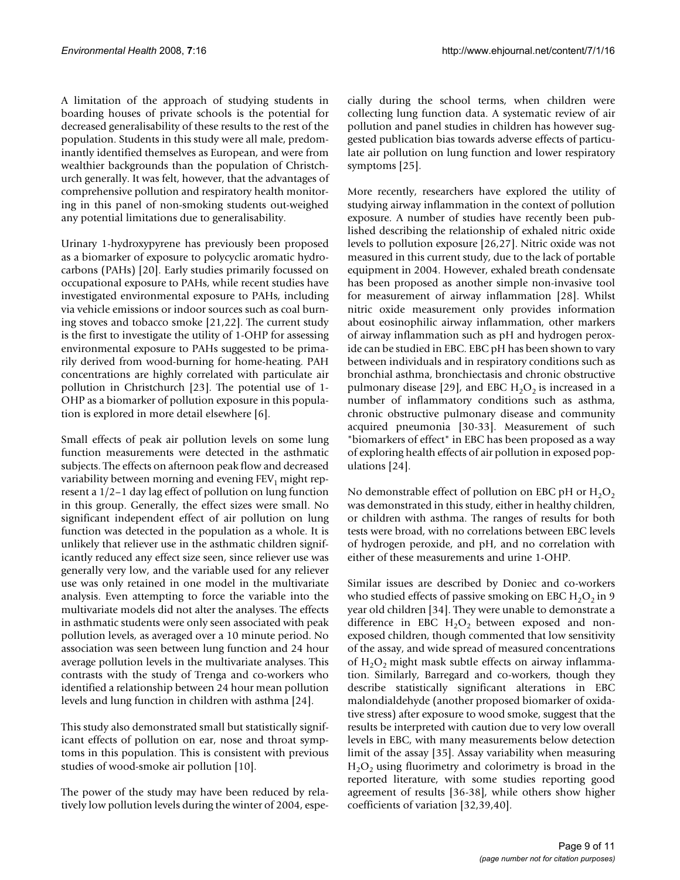A limitation of the approach of studying students in boarding houses of private schools is the potential for decreased generalisability of these results to the rest of the population. Students in this study were all male, predominantly identified themselves as European, and were from wealthier backgrounds than the population of Christchurch generally. It was felt, however, that the advantages of comprehensive pollution and respiratory health monitoring in this panel of non-smoking students out-weighed any potential limitations due to generalisability.

Urinary 1-hydroxypyrene has previously been proposed as a biomarker of exposure to polycyclic aromatic hydrocarbons (PAHs) [20]. Early studies primarily focussed on occupational exposure to PAHs, while recent studies have investigated environmental exposure to PAHs, including via vehicle emissions or indoor sources such as coal burning stoves and tobacco smoke [21,22]. The current study is the first to investigate the utility of 1-OHP for assessing environmental exposure to PAHs suggested to be primarily derived from wood-burning for home-heating. PAH concentrations are highly correlated with particulate air pollution in Christchurch [23]. The potential use of 1- OHP as a biomarker of pollution exposure in this population is explored in more detail elsewhere [6].

Small effects of peak air pollution levels on some lung function measurements were detected in the asthmatic subjects. The effects on afternoon peak flow and decreased variability between morning and evening  $FEV<sub>1</sub>$  might represent a 1/2–1 day lag effect of pollution on lung function in this group. Generally, the effect sizes were small. No significant independent effect of air pollution on lung function was detected in the population as a whole. It is unlikely that reliever use in the asthmatic children significantly reduced any effect size seen, since reliever use was generally very low, and the variable used for any reliever use was only retained in one model in the multivariate analysis. Even attempting to force the variable into the multivariate models did not alter the analyses. The effects in asthmatic students were only seen associated with peak pollution levels, as averaged over a 10 minute period. No association was seen between lung function and 24 hour average pollution levels in the multivariate analyses. This contrasts with the study of Trenga and co-workers who identified a relationship between 24 hour mean pollution levels and lung function in children with asthma [24].

This study also demonstrated small but statistically significant effects of pollution on ear, nose and throat symptoms in this population. This is consistent with previous studies of wood-smoke air pollution [10].

The power of the study may have been reduced by relatively low pollution levels during the winter of 2004, especially during the school terms, when children were collecting lung function data. A systematic review of air pollution and panel studies in children has however suggested publication bias towards adverse effects of particulate air pollution on lung function and lower respiratory symptoms [25].

More recently, researchers have explored the utility of studying airway inflammation in the context of pollution exposure. A number of studies have recently been published describing the relationship of exhaled nitric oxide levels to pollution exposure [26,27]. Nitric oxide was not measured in this current study, due to the lack of portable equipment in 2004. However, exhaled breath condensate has been proposed as another simple non-invasive tool for measurement of airway inflammation [28]. Whilst nitric oxide measurement only provides information about eosinophilic airway inflammation, other markers of airway inflammation such as pH and hydrogen peroxide can be studied in EBC. EBC pH has been shown to vary between individuals and in respiratory conditions such as bronchial asthma, bronchiectasis and chronic obstructive pulmonary disease [29], and EBC  $H_2O_2$  is increased in a number of inflammatory conditions such as asthma, chronic obstructive pulmonary disease and community acquired pneumonia [30-33]. Measurement of such "biomarkers of effect" in EBC has been proposed as a way of exploring health effects of air pollution in exposed populations [24].

No demonstrable effect of pollution on EBC pH or  $H_2O_2$ was demonstrated in this study, either in healthy children, or children with asthma. The ranges of results for both tests were broad, with no correlations between EBC levels of hydrogen peroxide, and pH, and no correlation with either of these measurements and urine 1-OHP.

Similar issues are described by Doniec and co-workers who studied effects of passive smoking on EBC  $H_2O_2$  in 9 year old children [34]. They were unable to demonstrate a difference in EBC  $H_2O_2$  between exposed and nonexposed children, though commented that low sensitivity of the assay, and wide spread of measured concentrations of  $H_2O_2$  might mask subtle effects on airway inflammation. Similarly, Barregard and co-workers, though they describe statistically significant alterations in EBC malondialdehyde (another proposed biomarker of oxidative stress) after exposure to wood smoke, suggest that the results be interpreted with caution due to very low overall levels in EBC, with many measurements below detection limit of the assay [35]. Assay variability when measuring  $H_2O_2$  using fluorimetry and colorimetry is broad in the reported literature, with some studies reporting good agreement of results [36-38], while others show higher coefficients of variation [32,39,40].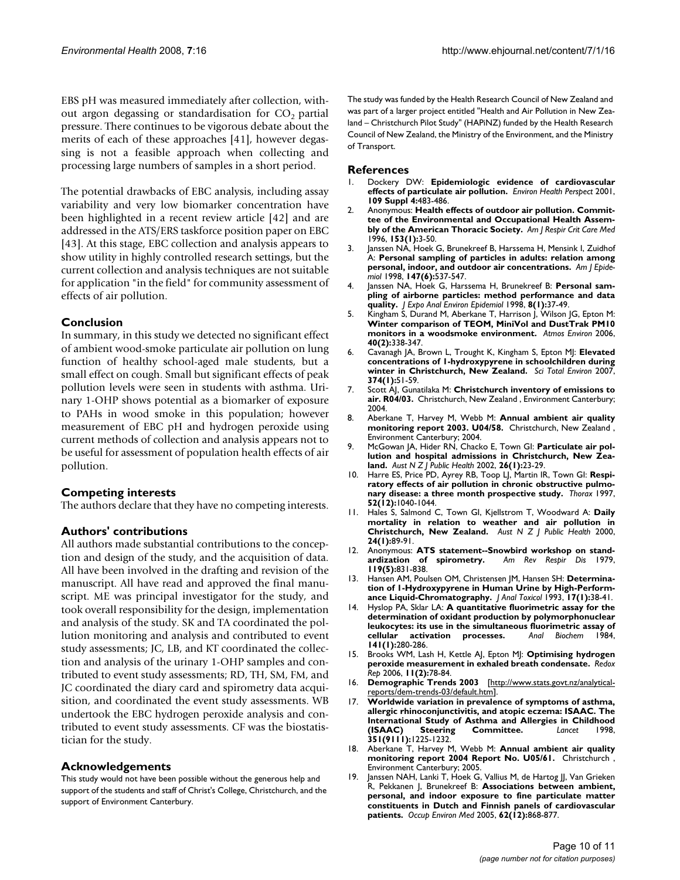EBS pH was measured immediately after collection, without argon degassing or standardisation for  $CO<sub>2</sub>$  partial pressure. There continues to be vigorous debate about the merits of each of these approaches [41], however degassing is not a feasible approach when collecting and processing large numbers of samples in a short period.

The potential drawbacks of EBC analysis, including assay variability and very low biomarker concentration have been highlighted in a recent review article [42] and are addressed in the ATS/ERS taskforce position paper on EBC [43]. At this stage, EBC collection and analysis appears to show utility in highly controlled research settings, but the current collection and analysis techniques are not suitable for application "in the field" for community assessment of effects of air pollution.

### **Conclusion**

In summary, in this study we detected no significant effect of ambient wood-smoke particulate air pollution on lung function of healthy school-aged male students, but a small effect on cough. Small but significant effects of peak pollution levels were seen in students with asthma. Urinary 1-OHP shows potential as a biomarker of exposure to PAHs in wood smoke in this population; however measurement of EBC pH and hydrogen peroxide using current methods of collection and analysis appears not to be useful for assessment of population health effects of air pollution.

# **Competing interests**

The authors declare that they have no competing interests.

#### **Authors' contributions**

All authors made substantial contributions to the conception and design of the study, and the acquisition of data. All have been involved in the drafting and revision of the manuscript. All have read and approved the final manuscript. ME was principal investigator for the study, and took overall responsibility for the design, implementation and analysis of the study. SK and TA coordinated the pollution monitoring and analysis and contributed to event study assessments; JC, LB, and KT coordinated the collection and analysis of the urinary 1-OHP samples and contributed to event study assessments; RD, TH, SM, FM, and JC coordinated the diary card and spirometry data acquisition, and coordinated the event study assessments. WB undertook the EBC hydrogen peroxide analysis and contributed to event study assessments. CF was the biostatistician for the study.

### **Acknowledgements**

This study would not have been possible without the generous help and support of the students and staff of Christ's College, Christchurch, and the support of Environment Canterbury.

The study was funded by the Health Research Council of New Zealand and was part of a larger project entitled "Health and Air Pollution in New Zealand – Christchurch Pilot Study" (HAPiNZ) funded by the Health Research Council of New Zealand, the Ministry of the Environment, and the Ministry of Transport.

#### **References**

- 1. Dockery DW: **[Epidemiologic evidence of cardiovascular](http://www.ncbi.nlm.nih.gov/entrez/query.fcgi?cmd=Retrieve&db=PubMed&dopt=Abstract&list_uids=11544151) [effects of particulate air pollution.](http://www.ncbi.nlm.nih.gov/entrez/query.fcgi?cmd=Retrieve&db=PubMed&dopt=Abstract&list_uids=11544151)** *Environ Health Perspect* 2001, **109 Suppl 4:**483-486.
- 2. Anonymous: **[Health effects of outdoor air pollution. Commit](http://www.ncbi.nlm.nih.gov/entrez/query.fcgi?cmd=Retrieve&db=PubMed&dopt=Abstract&list_uids=8542133)[tee of the Environmental and Occupational Health Assem](http://www.ncbi.nlm.nih.gov/entrez/query.fcgi?cmd=Retrieve&db=PubMed&dopt=Abstract&list_uids=8542133)[bly of the American Thoracic Society.](http://www.ncbi.nlm.nih.gov/entrez/query.fcgi?cmd=Retrieve&db=PubMed&dopt=Abstract&list_uids=8542133)** *Am J Respir Crit Care Med* 1996, **153(1):**3-50.
- 3. Janssen NA, Hoek G, Brunekreef B, Harssema H, Mensink I, Zuidhof A: **[Personal sampling of particles in adults: relation among](http://www.ncbi.nlm.nih.gov/entrez/query.fcgi?cmd=Retrieve&db=PubMed&dopt=Abstract&list_uids=9521180) [personal, indoor, and outdoor air concentrations.](http://www.ncbi.nlm.nih.gov/entrez/query.fcgi?cmd=Retrieve&db=PubMed&dopt=Abstract&list_uids=9521180)** *Am J Epidemiol* 1998, **147(6):**537-547.
- 4. Janssen NA, Hoek G, Harssema H, Brunekreef B: **[Personal sam](http://www.ncbi.nlm.nih.gov/entrez/query.fcgi?cmd=Retrieve&db=PubMed&dopt=Abstract&list_uids=9470103)[pling of airborne particles: method performance and data](http://www.ncbi.nlm.nih.gov/entrez/query.fcgi?cmd=Retrieve&db=PubMed&dopt=Abstract&list_uids=9470103) [quality.](http://www.ncbi.nlm.nih.gov/entrez/query.fcgi?cmd=Retrieve&db=PubMed&dopt=Abstract&list_uids=9470103)** *J Expo Anal Environ Epidemiol* 1998, **8(1):**37-49.
- 5. Kingham S, Durand M, Aberkane T, Harrison J, Wilson JG, Epton M: **Winter comparison of TEOM, MiniVol and DustTrak PM10 monitors in a woodsmoke environment.** *Atmos Environ* 2006, **40(2):**338-347.
- 6. Cavanagh JA, Brown L, Trought K, Kingham S, Epton MJ: **[Elevated](http://www.ncbi.nlm.nih.gov/entrez/query.fcgi?cmd=Retrieve&db=PubMed&dopt=Abstract&list_uids=17257655) [concentrations of 1-hydroxypyrene in schoolchildren during](http://www.ncbi.nlm.nih.gov/entrez/query.fcgi?cmd=Retrieve&db=PubMed&dopt=Abstract&list_uids=17257655) [winter in Christchurch, New Zealand.](http://www.ncbi.nlm.nih.gov/entrez/query.fcgi?cmd=Retrieve&db=PubMed&dopt=Abstract&list_uids=17257655)** *Sci Total Environ* 2007, **374(1):**51-59.
- 7. Scott AJ, Gunatilaka M: **Christchurch inventory of emissions to air. R04/03.** Christchurch, New Zealand , Environment Canterbury; 2004.
- 8. Aberkane T, Harvey M, Webb M: **Annual ambient air quality monitoring report 2003. U04/58.** Christchurch, New Zealand , Environment Canterbury; 2004.
- 9. McGowan JA, Hider RN, Chacko E, Town GI: **[Particulate air pol](http://www.ncbi.nlm.nih.gov/entrez/query.fcgi?cmd=Retrieve&db=PubMed&dopt=Abstract&list_uids=11895020)[lution and hospital admissions in Christchurch, New Zea](http://www.ncbi.nlm.nih.gov/entrez/query.fcgi?cmd=Retrieve&db=PubMed&dopt=Abstract&list_uids=11895020)[land.](http://www.ncbi.nlm.nih.gov/entrez/query.fcgi?cmd=Retrieve&db=PubMed&dopt=Abstract&list_uids=11895020)** *Aust N Z J Public Health* 2002, **26(1):**23-29.
- 10. Harre ES, Price PD, Ayrey RB, Toop LJ, Martin IR, Town GI: **[Respi](http://www.ncbi.nlm.nih.gov/entrez/query.fcgi?cmd=Retrieve&db=PubMed&dopt=Abstract&list_uids=9516896)[ratory effects of air pollution in chronic obstructive pulmo](http://www.ncbi.nlm.nih.gov/entrez/query.fcgi?cmd=Retrieve&db=PubMed&dopt=Abstract&list_uids=9516896)[nary disease: a three month prospective study.](http://www.ncbi.nlm.nih.gov/entrez/query.fcgi?cmd=Retrieve&db=PubMed&dopt=Abstract&list_uids=9516896)** *Thorax* 1997, **52(12):**1040-1044.
- 11. Hales S, Salmond C, Town GI, Kjellstrom T, Woodward A: **[Daily](http://www.ncbi.nlm.nih.gov/entrez/query.fcgi?cmd=Retrieve&db=PubMed&dopt=Abstract&list_uids=10777987) [mortality in relation to weather and air pollution in](http://www.ncbi.nlm.nih.gov/entrez/query.fcgi?cmd=Retrieve&db=PubMed&dopt=Abstract&list_uids=10777987) [Christchurch, New Zealand.](http://www.ncbi.nlm.nih.gov/entrez/query.fcgi?cmd=Retrieve&db=PubMed&dopt=Abstract&list_uids=10777987)** *Aust N Z J Public Health* 2000, **24(1):**89-91.
- 12. Anonymous: **[ATS statement--Snowbird workshop on stand](http://www.ncbi.nlm.nih.gov/entrez/query.fcgi?cmd=Retrieve&db=PubMed&dopt=Abstract&list_uids=453705)**[ardization of spirometry.](http://www.ncbi.nlm.nih.gov/entrez/query.fcgi?cmd=Retrieve&db=PubMed&dopt=Abstract&list_uids=453705) **119(5):**831-838.
- 13. Hansen AM, Poulsen OM, Christensen JM, Hansen SH: **[Determina](http://www.ncbi.nlm.nih.gov/entrez/query.fcgi?cmd=Retrieve&db=PubMed&dopt=Abstract&list_uids=8429626)[tion of 1-Hydroxypyrene in Human Urine by High-Perform](http://www.ncbi.nlm.nih.gov/entrez/query.fcgi?cmd=Retrieve&db=PubMed&dopt=Abstract&list_uids=8429626)[ance Liquid-Chromatography.](http://www.ncbi.nlm.nih.gov/entrez/query.fcgi?cmd=Retrieve&db=PubMed&dopt=Abstract&list_uids=8429626)** *J Anal Toxicol* 1993, **17(1):**38-41.
- 14. Hyslop PA, Sklar LA: **[A quantitative fluorimetric assay for the](http://www.ncbi.nlm.nih.gov/entrez/query.fcgi?cmd=Retrieve&db=PubMed&dopt=Abstract&list_uids=6093625) [determination of oxidant production by polymorphonuclear](http://www.ncbi.nlm.nih.gov/entrez/query.fcgi?cmd=Retrieve&db=PubMed&dopt=Abstract&list_uids=6093625) leukocytes: its use in the simultaneous fluorimetric assay of [cellular activation processes.](http://www.ncbi.nlm.nih.gov/entrez/query.fcgi?cmd=Retrieve&db=PubMed&dopt=Abstract&list_uids=6093625)** *Anal Biochem* 1984, **141(1):**280-286.
- 15. Brooks WM, Lash H, Kettle AJ, Epton MJ: **[Optimising hydrogen](http://www.ncbi.nlm.nih.gov/entrez/query.fcgi?cmd=Retrieve&db=PubMed&dopt=Abstract&list_uids=16686998) [peroxide measurement in exhaled breath condensate.](http://www.ncbi.nlm.nih.gov/entrez/query.fcgi?cmd=Retrieve&db=PubMed&dopt=Abstract&list_uids=16686998)** *Redox Rep* 2006, **11(2):**78-84.
- 16. **Demographic Trends 2003** [[http://www.stats.govt.nz/analytical](http://www.stats.govt.nz/analytical-reports/dem-trends-03/default.htm)[reports/dem-trends-03/default.htm](http://www.stats.govt.nz/analytical-reports/dem-trends-03/default.htm)].
- 17. **[Worldwide variation in prevalence of symptoms of asthma,](http://www.ncbi.nlm.nih.gov/entrez/query.fcgi?cmd=Retrieve&db=PubMed&dopt=Abstract&list_uids=9643741) [allergic rhinoconjunctivitis, and atopic eczema: ISAAC. The](http://www.ncbi.nlm.nih.gov/entrez/query.fcgi?cmd=Retrieve&db=PubMed&dopt=Abstract&list_uids=9643741) International Study of Asthma and Allergies in Childhood (ISAAC)** Steering Committee. *Lancet* 1998, **Steering 351(9111):**1225-1232.
- 18. Aberkane T, Harvey M, Webb M: **[Annual ambient air quality](http://www.ncbi.nlm.nih.gov/entrez/query.fcgi?cmd=Retrieve&db=PubMed&dopt=Abstract&list_uids=15750092) [monitoring report 2004 Report No. U05/61.](http://www.ncbi.nlm.nih.gov/entrez/query.fcgi?cmd=Retrieve&db=PubMed&dopt=Abstract&list_uids=15750092)** Christchurch , Environment Canterbury; 2005.
- 19. Janssen NAH, Lanki T, Hoek G, Vallius M, de Hartog JJ, Van Grieken R, Pekkanen J, Brunekreef B: **[Associations between ambient,](http://www.ncbi.nlm.nih.gov/entrez/query.fcgi?cmd=Retrieve&db=PubMed&dopt=Abstract&list_uids=16299096) personal, and indoor exposure to fine particulate matter [constituents in Dutch and Finnish panels of cardiovascular](http://www.ncbi.nlm.nih.gov/entrez/query.fcgi?cmd=Retrieve&db=PubMed&dopt=Abstract&list_uids=16299096) [patients.](http://www.ncbi.nlm.nih.gov/entrez/query.fcgi?cmd=Retrieve&db=PubMed&dopt=Abstract&list_uids=16299096)** *Occup Environ Med* 2005, **62(12):**868-877.